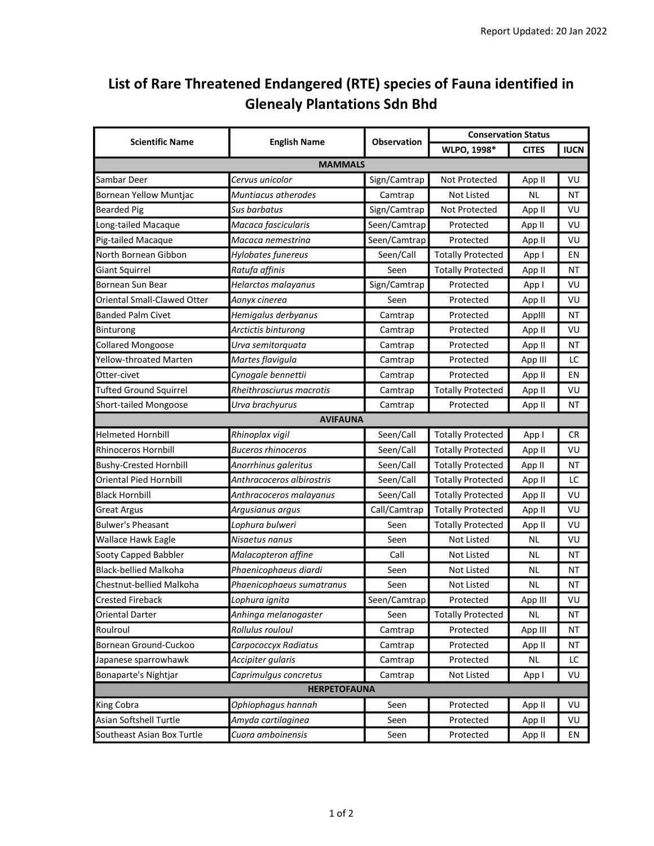## List of Rare Threatened Endangered (RTE) species of Fauna identified in Glenealy Plantations Sdn Bhd

| <b>Scientific Name</b>        | <b>English Name</b>       | Observation  | <b>Conservation Status</b> |              |             |  |
|-------------------------------|---------------------------|--------------|----------------------------|--------------|-------------|--|
|                               |                           |              | WLPO, 1998*                | <b>CITES</b> | <b>IUCN</b> |  |
| <b>MAMMALS</b>                |                           |              |                            |              |             |  |
| Sambar Deer                   | Cervus unicolor           | Sign/Camtrap | Not Protected              | App II       | VU          |  |
| <b>Bornean Yellow Muntjac</b> | Muntiacus atherodes       | Camtrap      | <b>Not Listed</b>          | <b>NL</b>    | ΝT          |  |
| <b>Bearded Pig</b>            | Sus barbatus              | Sign/Camtrap | Not Protected              | App II       | VU          |  |
| Long-tailed Macaque           | Macaca fascicularis       | Seen/Camtrap | Protected                  | App II       | VU          |  |
| Pig-tailed Macaque            | Macaca nemestrina         | Seen/Camtrap | Protected                  | App II       | VU          |  |
| North Bornean Gibbon          | Hylobates funereus        | Seen/Call    | <b>Totally Protected</b>   | App I        | ΕN          |  |
| Giant Squirrel                | Ratufa affinis            | Seen         | <b>Totally Protected</b>   | App II       | ΝT          |  |
| Bornean Sun Bear              | Helarctos malayanus       | Sign/Camtrap | Protected                  | App I        | VU          |  |
| Oriental Small-Clawed Otter   | Aonyx cinerea             | Seen         | Protected                  | App II       | VU          |  |
| Banded Palm Civet             | Hemigalus derbyanus       | Camtrap      | Protected                  | Applll       | ΝT          |  |
| Binturong                     | Arctictis binturong       | Camtrap      | Protected                  | App II       | VU          |  |
| <b>Collared Mongoose</b>      | Urva semitorquata         | Camtrap      | Protected                  | App II       | ΝT          |  |
| Yellow-throated Marten        | Martes flavigula          | Camtrap      | Protected                  | App III      | LC          |  |
| Otter-civet                   | Cynogale bennettii        | Camtrap      | Protected                  | App II       | ΕN          |  |
| <b>Tufted Ground Squirrel</b> | Rheithrosciurus macrotis  | Camtrap      | <b>Totally Protected</b>   | App II       | VU          |  |
| Short-tailed Mongoose         | Urva brachyurus           | Camtrap      | Protected                  | App II       | ΝT          |  |
| <b>AVIFAUNA</b>               |                           |              |                            |              |             |  |
| <b>Helmeted Hornbill</b>      | Rhinoplax vigil           | Seen/Call    | <b>Totally Protected</b>   | App I        | CR          |  |
| Rhinoceros Hornbill           | <b>Buceros rhinoceros</b> | Seen/Call    | <b>Totally Protected</b>   | App II       | VU          |  |
| <b>Bushy-Crested Hornbill</b> | Anorrhinus galeritus      | Seen/Call    | <b>Totally Protected</b>   | App II       | ΝT          |  |
| <b>Oriental Pied Hornbill</b> | Anthracoceros albirostris | Seen/Call    | <b>Totally Protected</b>   | App II       | LC          |  |
| <b>Black Hornbill</b>         | Anthracoceros malayanus   | Seen/Call    | <b>Totally Protected</b>   | App II       | VU          |  |
| <b>Great Argus</b>            | Argusianus argus          | Call/Camtrap | <b>Totally Protected</b>   | App II       | VU          |  |
| <b>Bulwer's Pheasant</b>      | Lophura bulweri           | Seen         | <b>Totally Protected</b>   | App II       | VU          |  |
| Wallace Hawk Eagle            | Nisaetus nanus            | Seen         | Not Listed                 | ΝL           | VU          |  |
| Sooty Capped Babbler          | Malacopteron affine       | Call         | Not Listed                 | ΝL           | ΝT          |  |
| <b>Black-bellied Malkoha</b>  | Phaenicophaeus diardi     | Seen         | <b>Not Listed</b>          | ΝL           | NΤ          |  |
| Chestnut-bellied Malkoha      | Phaenicophaeus sumatranus | Seen         | Not Listed                 | ΝL           | ΝT          |  |
| Crested Fireback              | Lophura ignita            | Seen/Camtrap | Protected                  | App III      | VU          |  |
| Oriental Darter               | Anhinga melanogaster      | Seen         | <b>Totally Protected</b>   | <b>NL</b>    | ΝT          |  |
| Roulroul                      | Rollulus rouloul          | Camtrap      | Protected                  | App III      | ΝT          |  |
| Bornean Ground-Cuckoo         | Carpococcyx Radiatus      | Camtrap      | Protected                  | App II       | ΝT          |  |
| Japanese sparrowhawk          | Accipiter gularis         | Camtrap      | Protected                  | <b>NL</b>    | LC          |  |
| Bonaparte's Nightjar          | Caprimulgus concretus     | Camtrap      | Not Listed                 | App I        | VU          |  |
| <b>HERPETOFAUNA</b>           |                           |              |                            |              |             |  |
| King Cobra                    | Ophiophagus hannah        | Seen         | Protected                  | App II       | VU          |  |
| Asian Softshell Turtle        | Amyda cartilaginea        | Seen         | Protected                  | App II       | VU          |  |
| Southeast Asian Box Turtle    | Cuora amboinensis         | Seen         | Protected                  | App II       | EN          |  |